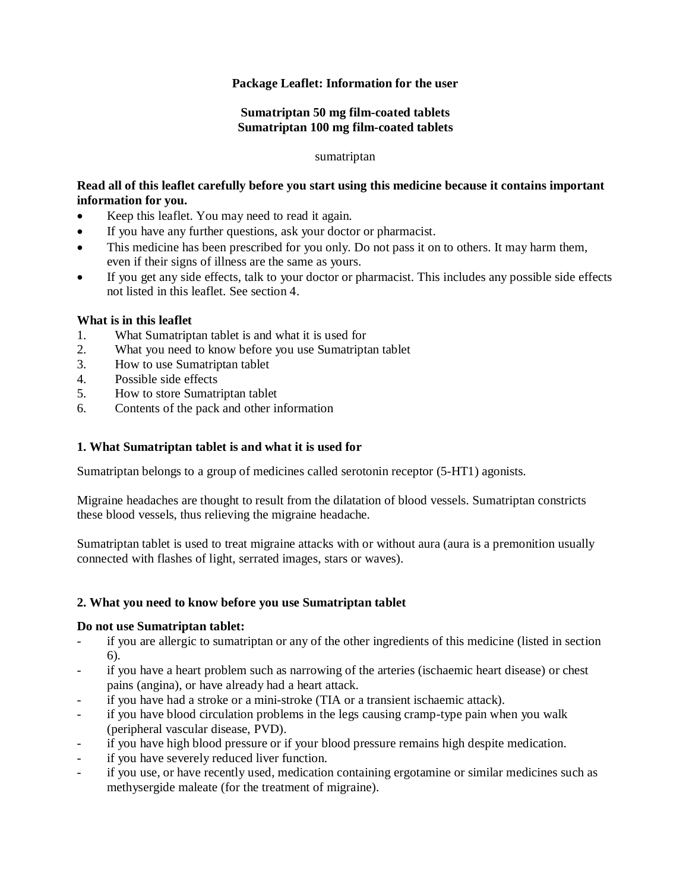## **Package Leaflet: Information for the user**

### **Sumatriptan 50 mg film-coated tablets Sumatriptan 100 mg film-coated tablets**

#### sumatriptan

# **Read all of this leaflet carefully before you start using this medicine because it contains important information for you.**

- Keep this leaflet. You may need to read it again.
- If you have any further questions, ask your doctor or pharmacist.
- This medicine has been prescribed for you only. Do not pass it on to others. It may harm them, even if their signs of illness are the same as yours.
- If you get any side effects, talk to your doctor or pharmacist. This includes any possible side effects not listed in this leaflet. See section 4.

#### **What is in this leaflet**

- 1. What Sumatriptan tablet is and what it is used for
- 2. What you need to know before you use Sumatriptan tablet
- 3. How to use Sumatriptan tablet
- 4. Possible side effects
- 5. How to store Sumatriptan tablet
- 6. Contents of the pack and other information

### **1. What Sumatriptan tablet is and what it is used for**

Sumatriptan belongs to a group of medicines called serotonin receptor (5-HT1) agonists.

Migraine headaches are thought to result from the dilatation of blood vessels. Sumatriptan constricts these blood vessels, thus relieving the migraine headache.

Sumatriptan tablet is used to treat migraine attacks with or without aura (aura is a premonition usually connected with flashes of light, serrated images, stars or waves).

### **2. What you need to know before you use Sumatriptan tablet**

### **Do not use Sumatriptan tablet:**

- if you are allergic to sumatriptan or any of the other ingredients of this medicine (listed in section 6).
- if you have a heart problem such as narrowing of the arteries (ischaemic heart disease) or chest pains (angina), or have already had a heart attack.
- if you have had a stroke or a mini-stroke (TIA or a transient ischaemic attack).
- if you have blood circulation problems in the legs causing cramp-type pain when you walk (peripheral vascular disease, PVD).
- if you have high blood pressure or if your blood pressure remains high despite medication.
- if you have severely reduced liver function.
- if you use, or have recently used, medication containing ergotamine or similar medicines such as methysergide maleate (for the treatment of migraine).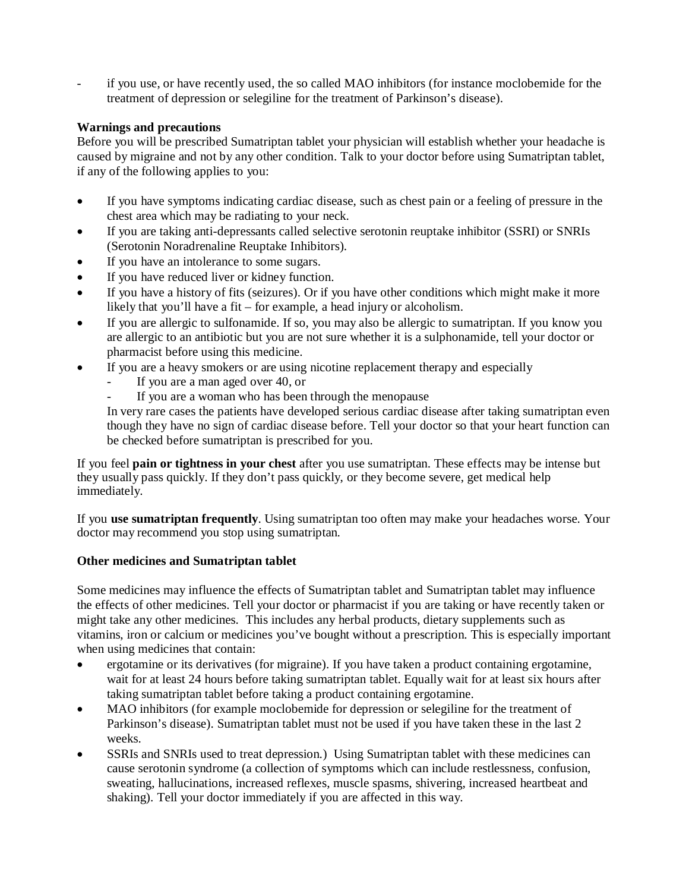if you use, or have recently used, the so called MAO inhibitors (for instance moclobemide for the treatment of depression or selegiline for the treatment of Parkinson's disease).

## **Warnings and precautions**

Before you will be prescribed Sumatriptan tablet your physician will establish whether your headache is caused by migraine and not by any other condition. Talk to your doctor before using Sumatriptan tablet, if any of the following applies to you:

- If you have symptoms indicating cardiac disease, such as chest pain or a feeling of pressure in the chest area which may be radiating to your neck.
- If you are taking anti-depressants called selective serotonin reuptake inhibitor (SSRI) or SNRIs (Serotonin Noradrenaline Reuptake Inhibitors).
- If you have an intolerance to some sugars.
- If you have reduced liver or kidney function.
- If you have a history of fits (seizures). Or if you have other conditions which might make it more likely that you'll have a fit – for example, a head injury or alcoholism.
- If you are allergic to sulfonamide. If so, you may also be allergic to sumatriptan. If you know you are allergic to an antibiotic but you are not sure whether it is a sulphonamide, tell your doctor or pharmacist before using this medicine.
- If you are a heavy smokers or are using nicotine replacement therapy and especially
	- If you are a man aged over 40, or
	- If you are a woman who has been through the menopause

In very rare cases the patients have developed serious cardiac disease after taking sumatriptan even though they have no sign of cardiac disease before. Tell your doctor so that your heart function can be checked before sumatriptan is prescribed for you.

If you feel **pain or tightness in your chest** after you use sumatriptan. These effects may be intense but they usually pass quickly. If they don't pass quickly, or they become severe, get medical help immediately.

If you **use sumatriptan frequently**. Using sumatriptan too often may make your headaches worse. Your doctor may recommend you stop using sumatriptan.

# **Other medicines and Sumatriptan tablet**

Some medicines may influence the effects of Sumatriptan tablet and Sumatriptan tablet may influence the effects of other medicines. Tell your doctor or pharmacist if you are taking or have recently taken or might take any other medicines. This includes any herbal products, dietary supplements such as vitamins, iron or calcium or medicines you've bought without a prescription. This is especially important when using medicines that contain:

- ergotamine or its derivatives (for migraine). If you have taken a product containing ergotamine, wait for at least 24 hours before taking sumatriptan tablet. Equally wait for at least six hours after taking sumatriptan tablet before taking a product containing ergotamine.
- MAO inhibitors (for example moclobemide for depression or selegiline for the treatment of Parkinson's disease). Sumatriptan tablet must not be used if you have taken these in the last 2 weeks.
- SSRIs and SNRIs used to treat depression.) Using Sumatriptan tablet with these medicines can cause serotonin syndrome (a collection of symptoms which can include restlessness, confusion, sweating, hallucinations, increased reflexes, muscle spasms, shivering, increased heartbeat and shaking). Tell your doctor immediately if you are affected in this way.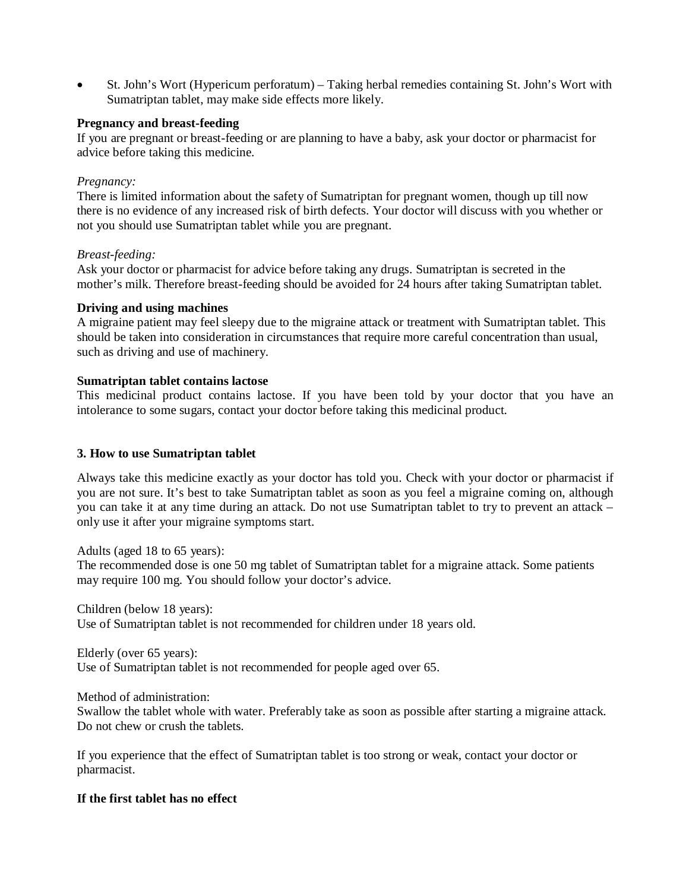St. John's Wort (Hypericum perforatum) – Taking herbal remedies containing St. John's Wort with Sumatriptan tablet, may make side effects more likely.

### **Pregnancy and breast-feeding**

If you are pregnant or breast-feeding or are planning to have a baby, ask your doctor or pharmacist for advice before taking this medicine.

#### *Pregnancy:*

There is limited information about the safety of Sumatriptan for pregnant women, though up till now there is no evidence of any increased risk of birth defects. Your doctor will discuss with you whether or not you should use Sumatriptan tablet while you are pregnant.

### *Breast-feeding:*

Ask your doctor or pharmacist for advice before taking any drugs. Sumatriptan is secreted in the mother's milk. Therefore breast-feeding should be avoided for 24 hours after taking Sumatriptan tablet.

#### **Driving and using machines**

A migraine patient may feel sleepy due to the migraine attack or treatment with Sumatriptan tablet. This should be taken into consideration in circumstances that require more careful concentration than usual, such as driving and use of machinery.

#### **Sumatriptan tablet contains lactose**

This medicinal product contains lactose. If you have been told by your doctor that you have an intolerance to some sugars, contact your doctor before taking this medicinal product.

### **3. How to use Sumatriptan tablet**

Always take this medicine exactly as your doctor has told you. Check with your doctor or pharmacist if you are not sure. It's best to take Sumatriptan tablet as soon as you feel a migraine coming on, although you can take it at any time during an attack. Do not use Sumatriptan tablet to try to prevent an attack – only use it after your migraine symptoms start.

Adults (aged 18 to 65 years):

The recommended dose is one 50 mg tablet of Sumatriptan tablet for a migraine attack. Some patients may require 100 mg. You should follow your doctor's advice.

Children (below 18 years):

Use of Sumatriptan tablet is not recommended for children under 18 years old.

Elderly (over 65 years): Use of Sumatriptan tablet is not recommended for people aged over 65.

Method of administration:

Swallow the tablet whole with water. Preferably take as soon as possible after starting a migraine attack. Do not chew or crush the tablets.

If you experience that the effect of Sumatriptan tablet is too strong or weak, contact your doctor or pharmacist.

#### **If the first tablet has no effect**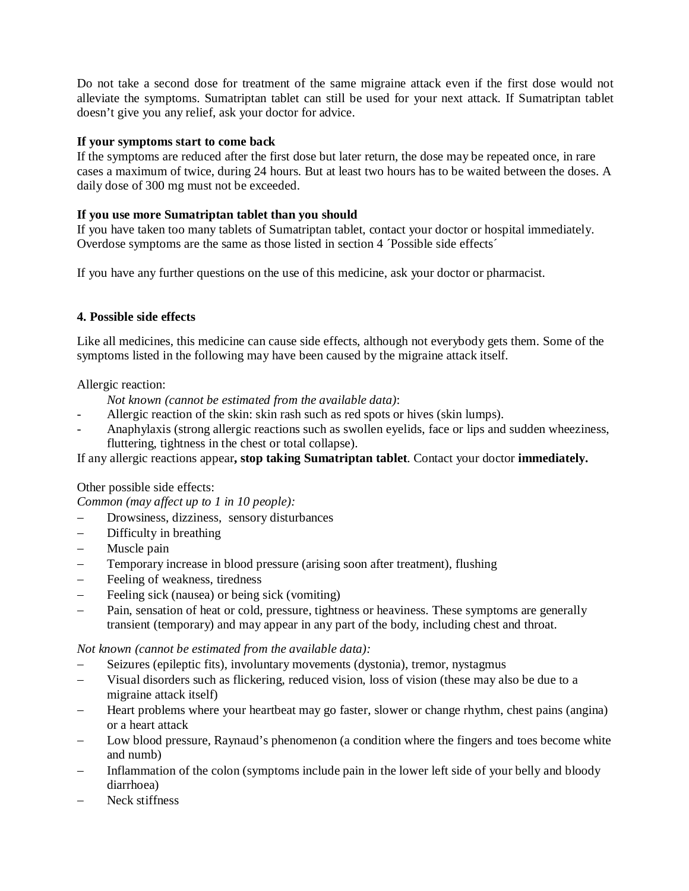Do not take a second dose for treatment of the same migraine attack even if the first dose would not alleviate the symptoms. Sumatriptan tablet can still be used for your next attack. If Sumatriptan tablet doesn't give you any relief, ask your doctor for advice.

## **If your symptoms start to come back**

If the symptoms are reduced after the first dose but later return, the dose may be repeated once, in rare cases a maximum of twice, during 24 hours. But at least two hours has to be waited between the doses. A daily dose of 300 mg must not be exceeded.

### **If you use more Sumatriptan tablet than you should**

If you have taken too many tablets of Sumatriptan tablet, contact your doctor or hospital immediately. Overdose symptoms are the same as those listed in section 4 ´Possible side effects´

If you have any further questions on the use of this medicine, ask your doctor or pharmacist.

# **4. Possible side effects**

Like all medicines, this medicine can cause side effects, although not everybody gets them. Some of the symptoms listed in the following may have been caused by the migraine attack itself.

### Allergic reaction:

*Not known (cannot be estimated from the available data)*:

- Allergic reaction of the skin: skin rash such as red spots or hives (skin lumps).
- Anaphylaxis (strong allergic reactions such as swollen eyelids, face or lips and sudden wheeziness, fluttering, tightness in the chest or total collapse).

If any allergic reactions appear**, stop taking Sumatriptan tablet**. Contact your doctor **immediately.**

### Other possible side effects:

*Common (may affect up to 1 in 10 people):* 

- Drowsiness, dizziness, sensory disturbances
- Difficulty in breathing
- Muscle pain
- Temporary increase in blood pressure (arising soon after treatment), flushing
- Feeling of weakness, tiredness
- Feeling sick (nausea) or being sick (vomiting)
- Pain, sensation of heat or cold, pressure, tightness or heaviness. These symptoms are generally transient (temporary) and may appear in any part of the body, including chest and throat.

### *Not known (cannot be estimated from the available data):*

- Seizures (epileptic fits), involuntary movements (dystonia), tremor, nystagmus
- Visual disorders such as flickering, reduced vision, loss of vision (these may also be due to a migraine attack itself)
- Heart problems where your heartbeat may go faster, slower or change rhythm, chest pains (angina) or a heart attack
- Low blood pressure, Raynaud's phenomenon (a condition where the fingers and toes become white and numb)
- Inflammation of the colon (symptoms include pain in the lower left side of your belly and bloody diarrhoea)
- Neck stiffness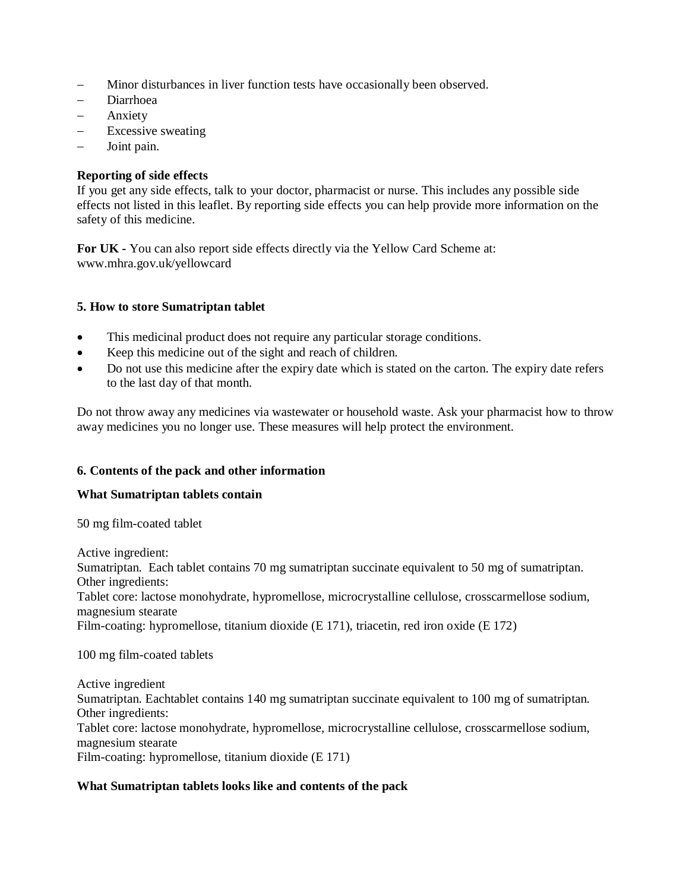- Minor disturbances in liver function tests have occasionally been observed.
- Diarrhoea
- Anxiety
- Excessive sweating
- Joint pain.

## **Reporting of side effects**

If you get any side effects, talk to your doctor, pharmacist or nurse. This includes any possible side effects not listed in this leaflet. By reporting side effects you can help provide more information on the safety of this medicine.

**For UK -** You can also report side effects directly via the Yellow Card Scheme at: www.mhra.gov.uk/yellowcard

### **5. How to store Sumatriptan tablet**

- This medicinal product does not require any particular storage conditions.
- Keep this medicine out of the sight and reach of children.
- Do not use this medicine after the expiry date which is stated on the carton. The expiry date refers to the last day of that month.

Do not throw away any medicines via wastewater or household waste. Ask your pharmacist how to throw away medicines you no longer use. These measures will help protect the environment.

### **6. Contents of the pack and other information**

### **What Sumatriptan tablets contain**

50 mg film-coated tablet

Active ingredient: Sumatriptan. Each tablet contains 70 mg sumatriptan succinate equivalent to 50 mg of sumatriptan. Other ingredients: Tablet core: lactose monohydrate, hypromellose, microcrystalline cellulose, crosscarmellose sodium, magnesium stearate Film-coating: hypromellose, titanium dioxide (E 171), triacetin, red iron oxide (E 172)

100 mg film-coated tablets

Active ingredient Sumatriptan. Eachtablet contains 140 mg sumatriptan succinate equivalent to 100 mg of sumatriptan. Other ingredients: Tablet core: lactose monohydrate, hypromellose, microcrystalline cellulose, crosscarmellose sodium, magnesium stearate Film-coating: hypromellose, titanium dioxide (E 171)

# **What Sumatriptan tablets looks like and contents of the pack**